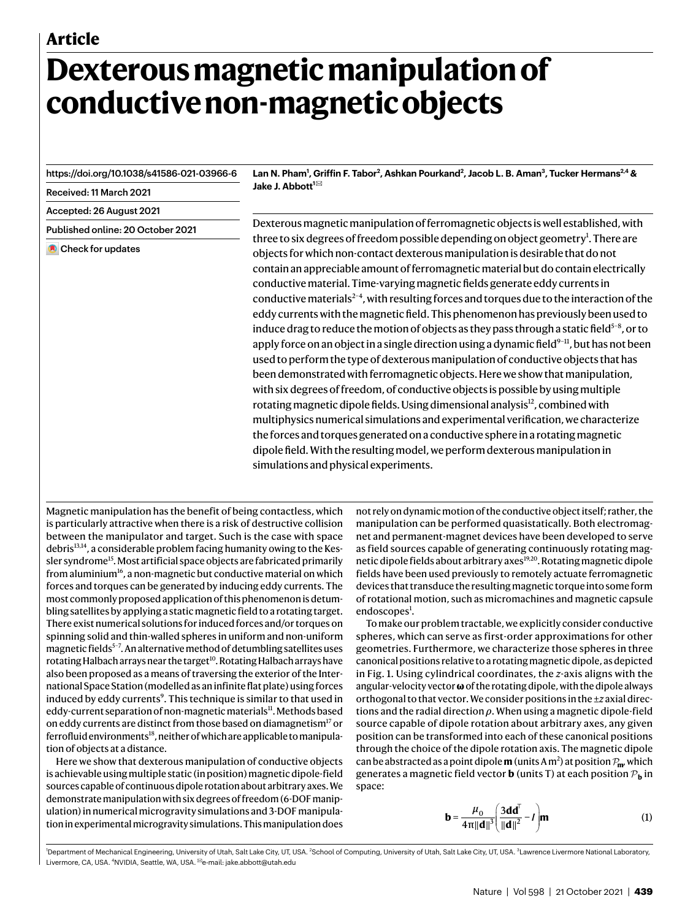# **Dexterous magnetic manipulation of conductive non-magnetic objects**

<https://doi.org/10.1038/s41586-021-03966-6>

Received: 11 March 2021

Accepted: 26 August 2021

Published online: 20 October 2021

Check for updates

**Lan N. Pham<sup>1</sup> , Griffin F. Tabor<sup>2</sup> , Ashkan Pourkand<sup>2</sup> , Jacob L. B. Aman<sup>3</sup> , Tucker Hermans2,4 & Jake J. Abbott<sup>1</sup>** ✉

Dexterous magnetic manipulation of ferromagnetic objects is well established, with three to six degrees of freedom possible depending on object geometry<sup>[1](#page-3-0)</sup>. There are objects for which non-contact dexterous manipulation is desirable that do not contain an appreciable amount of ferromagnetic material but do contain electrically conductive material. Time-varying magnetic fields generate eddy currents in conductive materials<sup>2-[4](#page-3-2)</sup>, with resulting forces and torques due to the interaction of the eddy currents with the magnetic field. This phenomenon has previously been used to induce drag to reduce the motion of objects as they pass through a static field $5\text{-}8$  $5\text{-}8$ , or to apply force on an object in a single direction using a dynamic field $9-11$  $9-11$ , but has not been used to perform the type of dexterous manipulation of conductive objects that has been demonstrated with ferromagnetic objects. Here we show that manipulation, with six degrees of freedom, of conductive objects is possible by using multiple rotating magnetic dipole fields. Using dimensional analysis<sup>[12](#page-3-7)</sup>, combined with multiphysics numerical simulations and experimental verification, we characterize the forces and torques generated on a conductive sphere in a rotating magnetic dipole field. With the resulting model, we perform dexterous manipulation in simulations and physical experiments.

Magnetic manipulation has the benefit of being contactless, which is particularly attractive when there is a risk of destructive collision between the manipulator and target. Such is the case with space debris<sup>[13](#page-3-8),[14](#page-3-9)</sup>, a considerable problem facing humanity owing to the Kes-sler syndrome<sup>[15](#page-3-10)</sup>. Most artificial space objects are fabricated primarily from aluminium<sup>[16](#page-3-11)</sup>, a non-magnetic but conductive material on which forces and torques can be generated by inducing eddy currents. The most commonly proposed application of this phenomenon is detumbling satellites by applying a static magnetic field to a rotating target. There exist numerical solutions for induced forces and/or torques on spinning solid and thin-walled spheres in uniform and non-uniform magnetic fields<sup>5-[7](#page-3-12)</sup>. An alternative method of detumbling satellites uses rotating Halbach arrays near the target<sup>[10](#page-3-13)</sup>. Rotating Halbach arrays have also been proposed as a means of traversing the exterior of the International Space Station (modelled as an infinite flat plate) using forces induced by eddy currents<sup>[9](#page-3-5)</sup>. This technique is similar to that used in eddy-current separation of non-magnetic materials<sup>[11](#page-3-6)</sup>. Methods based on eddy currents are distinct from those based on diamagnetism<sup>[17](#page-3-14)</sup> or ferrofluid environments<sup>[18](#page-3-15)</sup>, neither of which are applicable to manipulation of objects at a distance.

Here we show that dexterous manipulation of conductive objects is achievable using multiple static (in position) magnetic dipole-field sources capable of continuous dipole rotation about arbitrary axes. We demonstrate manipulation with six degrees of freedom (6-DOF manipulation) in numerical microgravity simulations and 3-DOF manipulation in experimental microgravity simulations. This manipulation does not rely on dynamic motion of the conductive object itself; rather, the manipulation can be performed quasistatically. Both electromagnet and permanent-magnet devices have been developed to serve as field sources capable of generating continuously rotating mag-netic dipole fields about arbitrary axes<sup>[19,](#page-4-0)[20](#page-4-1)</sup>. Rotating magnetic dipole fields have been used previously to remotely actuate ferromagnetic devices that transduce the resulting magnetic torque into some form of rotational motion, such as micromachines and magnetic capsule endoscopes<sup>[1](#page-3-0)</sup>.

To make our problem tractable, we explicitly consider conductive spheres, which can serve as first-order approximations for other geometries. Furthermore, we characterize those spheres in three canonical positions relative to a rotating magnetic dipole, as depicted in Fig. [1](#page-1-0). Using cylindrical coordinates, the *z*-axis aligns with the angular-velocity vector **ω** of the rotating dipole, with the dipole always orthogonal to that vector. We consider positions in the ±*z* axial directions and the radial direction *ρ*. When using a magnetic dipole-field source capable of dipole rotation about arbitrary axes, any given position can be transformed into each of these canonical positions through the choice of the dipole rotation axis. The magnetic dipole can be abstracted as a point dipole **m** (units A m<sup>2</sup>) at position  $P_{\text{m}}$ , which generates a magnetic field vector **b** (units T) at each position  $\mathcal{P}_{\mathbf{b}}$  in space:

$$
\mathbf{b} = \frac{\mu_0}{4\pi ||\mathbf{d}||^3} \left( \frac{3\mathbf{d}\mathbf{d}^T}{||\mathbf{d}||^2} - I \right) \mathbf{m}
$$
 (1)

<sup>1</sup>Department of Mechanical Engineering, University of Utah, Salt Lake City, UT, USA. <sup>2</sup>School of Computing, University of Utah, Salt Lake City, UT, USA. <sup>3</sup> Lawrence Livermore National Laboratory, Livermore, CA, USA. <sup>4</sup>NVIDIA, Seattle, WA, USA. ✉e-mail: [jake.abbott@utah.edu](mailto:jake.abbott@utah.edu)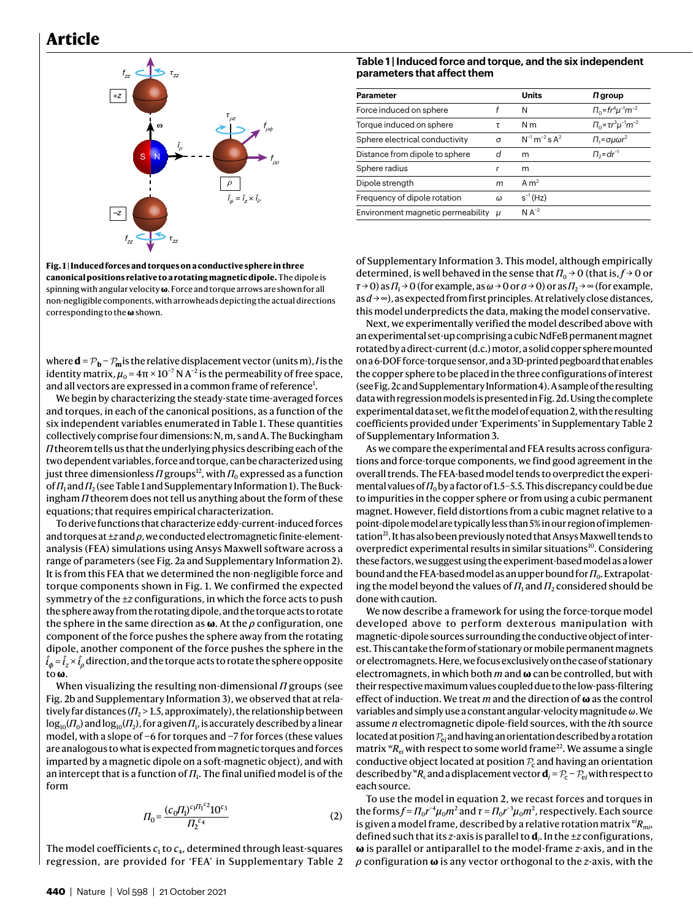### **Article**



<span id="page-1-0"></span>**Fig. 1 | Induced forces and torques on a conductive sphere in three canonical positions relative to a rotating magnetic dipole.** The dipole is spinning with angular velocity **ω**. Force and torque arrows are shown for all non-negligible components, with arrowheads depicting the actual directions corresponding to the **ω** shown.

where  $\mathbf{d} = \mathcal{P}_{\mathbf{b}} - \mathcal{P}_{\mathbf{m}}$  is the relative displacement vector (units m), *I* is the identity matrix,  $\mu_0$  = 4π × 10<sup>-7</sup> N A<sup>-2</sup> is the permeability of free space, and all vectors are expressed in a common frame of reference<sup>[1](#page-3-0)</sup>.

We begin by characterizing the steady-state time-averaged forces and torques, in each of the canonical positions, as a function of the six independent variables enumerated in Table [1](#page-1-1). These quantities collectively comprise four dimensions: N, m, s and A. The Buckingham *Π* theorem tells us that the underlying physics describing each of the two dependent variables, force and torque, can be characterized using just three dimensionless  $\varPi$  groups $^{12}$  $^{12}$  $^{12}$ , with  $\varPi_0$  expressed as a function of *Π*<sub>1</sub> and *Π*<sub>2</sub> (see Table [1](#page-1-1) and Supplementary Information 1). The Buckingham *Π* theorem does not tell us anything about the form of these equations; that requires empirical characterization.

To derive functions that characterize eddy-current-induced forces and torques at ±*z* and *ρ*, we conducted electromagnetic finite-elementanalysis (FEA) simulations using Ansys Maxwell software across a range of parameters (see Fig. [2a](#page-2-0) and Supplementary Information 2). It is from this FEA that we determined the non-negligible force and torque components shown in Fig. [1.](#page-1-0) We confirmed the expected symmetry of the ±*z* configurations, in which the force acts to push the sphere away from the rotating dipole, and the torque acts to rotate the sphere in the same direction as **ω**. At the *ρ* configuration, one component of the force pushes the sphere away from the rotating dipole, another component of the force pushes the sphere in the  $\hat{l}_{\pmb{\phi}}$  =  $\hat{l}_{\pmb{z}}$   $\times$   $\hat{l}_{\rho}$  direction, and the torque acts to rotate the sphere opposite to **ω**.

When visualizing the resulting non-dimensional *Π* groups (see Fig. [2b](#page-2-0) and Supplementary Information 3), we observed that at relatively far distances ( $\Pi_{2}$  > 1.5, approximately), the relationship between  $\log_{10}$ ( $\Pi_0$ ) and  $\log_{10}$ ( $\Pi_2$ ), for a given  $\Pi_1$ , is accurately described by a linear model, with a slope of −6 for torques and −7 for forces (these values are analogous to what is expected from magnetic torques and forces imparted by a magnetic dipole on a soft-magnetic object), and with an intercept that is a function of  $\Pi_{\mathrm{i}}$ . The final unified model is of the form

$$
\Pi_0 = \frac{(c_0 \Pi_1)^{c_1 \Pi_1 c_2} 10^{c_3}}{\Pi_2^{c_4}}
$$
\n(2)

<span id="page-1-2"></span>The model coefficients  $c_1$  to  $c_4$ , determined through least-squares regression, are provided for 'FEA' in Supplementary Table 2

#### <span id="page-1-1"></span>**Table 1 | Induced force and torque, and the six independent parameters that affect them**

| <b>Parameter</b>                        |   | <b>Units</b>                     | $\Pi$ group                        |
|-----------------------------------------|---|----------------------------------|------------------------------------|
| Force induced on sphere                 | f | N                                | $\Pi_0 = fr^4 \mu^{-1} m^{-2}$     |
| Torque induced on sphere                | τ | N m                              | $\Pi_0 = \tau r^3 \mu^{-1} m^{-2}$ |
| Sphere electrical conductivity          | σ | $N^{-1}$ m <sup>-2</sup> s $A^2$ | $\Pi_1 = \sigma \mu \omega r^2$    |
| Distance from dipole to sphere          | d | m                                | $\Pi_2 = dr^{-1}$                  |
| Sphere radius                           | r | m                                |                                    |
| Dipole strength                         | m | Am <sup>2</sup>                  |                                    |
| Frequency of dipole rotation            | ω | $s^{-1}$ (Hz)                    |                                    |
| Environment magnetic permeability $\mu$ |   | $N A^{-2}$                       |                                    |

of Supplementary Information 3. This model, although empirically determined, is well behaved in the sense that  $\Pi_0 \rightarrow 0$  (that is,  $f \rightarrow 0$  or  $\tau \rightarrow 0$ ) as  $\Pi_1 \rightarrow 0$  (for example, as  $\omega \rightarrow 0$  or  $\sigma \rightarrow 0$ ) or as  $\Pi_2 \rightarrow \infty$  (for example, as *d* → ∞), as expected from first principles. At relatively close distances, this model underpredicts the data, making the model conservative.

Next, we experimentally verified the model described above with an experimental set-up comprising a cubic NdFeB permanent magnet rotated by a direct-current (d.c.) motor, a solid copper sphere mounted on a 6-DOF force-torque sensor, and a 3D-printed pegboard that enables the copper sphere to be placed in the three configurations of interest (see Fig. [2c](#page-2-0) and Supplementary Information 4). A sample of the resulting data with regression models is presented in Fig. [2d](#page-2-0). Using the complete experimental data set, we fit the model of equation [2](#page-1-2), with the resulting coefficients provided under 'Experiments' in Supplementary Table 2 of Supplementary Information 3.

As we compare the experimental and FEA results across configurations and force-torque components, we find good agreement in the overall trends. The FEA-based model tends to overpredict the experimental values of  $\Pi_0$  by a factor of 1.5–5.5. This discrepancy could be due to impurities in the copper sphere or from using a cubic permanent magnet. However, field distortions from a cubic magnet relative to a point-dipole model are typically less than 5% in our region of implemen-tation<sup>[21](#page-4-2)</sup>. It has also been previously noted that Ansys Maxwell tends to overpredict experimental results in similar situations<sup>[10](#page-3-13)</sup>. Considering these factors, we suggest using the experiment-based model as a lower bound and the FEA-based model as an upper bound for *Π*<sub>0</sub>. Extrapolating the model beyond the values of  $\Pi_1$  and  $\Pi_2$  considered should be done with caution.

We now describe a framework for using the force-torque model developed above to perform dexterous manipulation with magnetic-dipole sources surrounding the conductive object of interest. This can take the form of stationary or mobile permanent magnets or electromagnets. Here, we focus exclusively on the case of stationary electromagnets, in which both *m* and **ω** can be controlled, but with their respective maximum values coupled due to the low-pass-filtering effect of induction. We treat *m* and the direction of **ω** as the control variables and simply use a constant angular-velocity magnitude *ω*. We assume *n* electromagnetic dipole-field sources, with the *i*th source located at position  $\mathcal{P}_{ei}$  and having an orientation described by a rotation matrix  ${}^w_{}R_{e i}$  with respect to some world frame<sup>[22](#page-4-3)</sup>. We assume a single conductive object located at position  $P_c$  and having an orientation described by  ${}^wR_c$  and a displacement vector  $\mathbf{d}_i = \mathcal{P}_c - \mathcal{P}_{ei}$  with respect to each source.

To use the model in equation [2](#page-1-2), we recast forces and torques in the forms $f = \prod_0 r^{-4} \mu_0 m^2$  and  $\tau = \prod_0 r^{-3} \mu_0 m^2$ , respectively. Each source is given a model frame, described by a relative rotation matrix  $e^{i}R_{mi}$ , defined such that its *z*-axis is parallel to **d***<sup>i</sup>* . In the ±*z* configurations, **ω** is parallel or antiparallel to the model-frame *z*-axis, and in the *ρ* configuration **ω** is any vector orthogonal to the *z*-axis, with the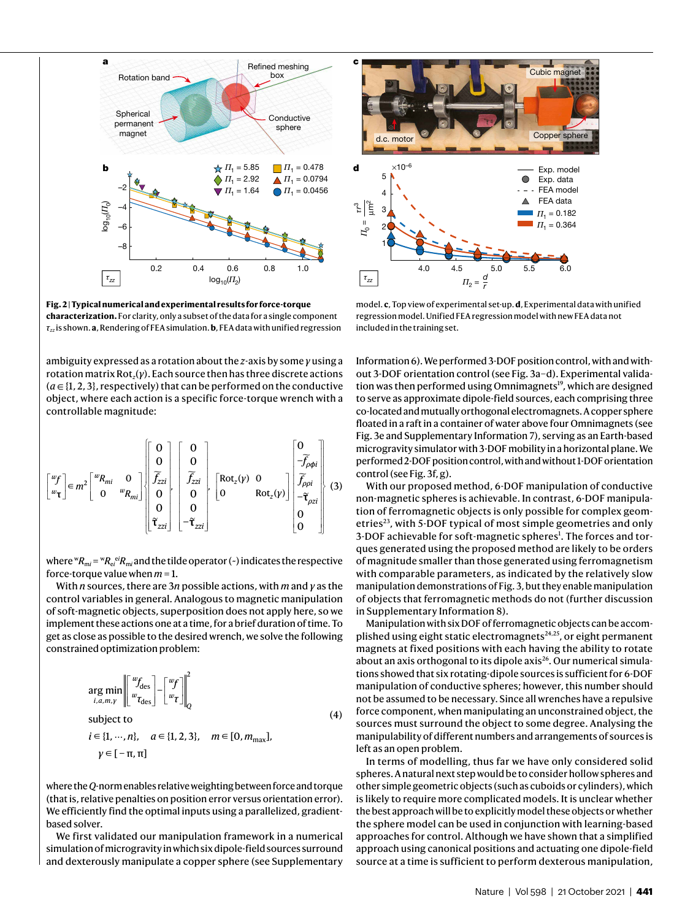

<span id="page-2-0"></span>**Fig. 2 | Typical numerical and experimental results for force-torque characterization.** For clarity, only a subset of the data for a single component *τzz* is shown. **a**, Rendering of FEA simulation. **b**, FEA data with unified regression

ambiguity expressed as a rotation about the *z*-axis by some *γ* using a rotation matrix Rot*<sup>z</sup>* (*γ*). Each source then has three discrete actions  $(a \in \{1, 2, 3\},$  respectively) that can be performed on the conductive object, where each action is a specific force-torque wrench with a controllable magnitude:

$$
\begin{bmatrix} {}^{w}f \\ {}^{w}f \end{bmatrix} \in m^{2} \begin{bmatrix} {}^{w}R_{mi} & 0 \\ 0 & {}^{w}R_{mi} \end{bmatrix} \begin{bmatrix} 0 \\ 0 \\ \widetilde{f}_{zzi} \\ 0 \\ 0 \\ \widetilde{f}_{zzi} \end{bmatrix} \begin{bmatrix} 0 \\ 0 \\ \widetilde{f}_{zzi} \\ 0 \\ -\widetilde{f}_{zzi} \end{bmatrix} \begin{bmatrix} 0 \\ 0 \\ \widetilde{f}_{zzi} \\ 0 \\ -\widetilde{f}_{zzi} \end{bmatrix} \begin{bmatrix} 0 \\ 0 \\ \widetilde{f}_{\rho \rho i} \\ 0 \\ 0 \\ 0 \end{bmatrix} \begin{bmatrix} 0 \\ -\widetilde{f}_{\rho \phi i} \\ \widetilde{f}_{\rho \rho i} \\ 0 \\ 0 \\ 0 \end{bmatrix} \quad (3)
$$

where  ${}^w R_{mi}$  =  ${}^w R_{ei}$ <sup>ei</sup> $R_{mi}$  and the tilde operator (~) indicates the respective force-torque value when *m* = 1.

With *n* sources, there are 3*n* possible actions, with *m* and *γ* as the control variables in general. Analogous to magnetic manipulation of soft-magnetic objects, superposition does not apply here, so we implement these actions one at a time, for a brief duration of time. To get as close as possible to the desired wrench, we solve the following constrained optimization problem:

$$
\underset{i, a, m, \gamma}{\arg \min} \left\| \begin{bmatrix} w_{f_{\text{des}}} \\ w_{\text{des}} \end{bmatrix} - \begin{bmatrix} w_{f} \\ w_{\text{t}} \end{bmatrix} \right\|_{Q}^{2}
$$
\n
$$
\text{subject to}
$$
\n
$$
i \in \{1, \cdots, n\}, \quad a \in \{1, 2, 3\}, \quad m \in [0, m_{\text{max}}],
$$
\n
$$
\gamma \in [-\pi, \pi]
$$
\n(4)

where the *Q*-norm enables relative weighting between force and torque (that is, relative penalties on position error versus orientation error). We efficiently find the optimal inputs using a parallelized, gradientbased solver.

We first validated our manipulation framework in a numerical simulation of microgravity in which six dipole-field sources surround and dexterously manipulate a copper sphere (see Supplementary



model. **c**, Top view of experimental set-up. **d**, Experimental data with unified regression model. Unified FEA regression model with new FEA data not included in the training set.

Information 6). We performed 3-DOF position control, with and without 3-DOF orientation control (see Fig. [3a–d\)](#page-3-16). Experimental valida-tion was then performed using Omnimagnets<sup>[19](#page-4-0)</sup>, which are designed to serve as approximate dipole-field sources, each comprising three co-located and mutually orthogonal electromagnets. A copper sphere floated in a raft in a container of water above four Omnimagnets (see Fig. [3e](#page-3-16) and Supplementary Information 7), serving as an Earth-based microgravity simulator with 3-DOF mobility in a horizontal plane. We performed 2-DOF position control, with and without 1-DOF orientation control (see Fig. [3f, g\)](#page-3-16).

With our proposed method, 6-DOF manipulation of conductive non-magnetic spheres is achievable. In contrast, 6-DOF manipulation of ferromagnetic objects is only possible for complex geom-etries<sup>[23](#page-4-4)</sup>, with 5-DOF typical of most simple geometries and only 3-DOF achievable for soft-magnetic spheres<sup>[1](#page-3-0)</sup>. The forces and torques generated using the proposed method are likely to be orders of magnitude smaller than those generated using ferromagnetism with comparable parameters, as indicated by the relatively slow manipulation demonstrations of Fig. [3](#page-3-16), but they enable manipulation of objects that ferromagnetic methods do not (further discussion in Supplementary Information 8).

Manipulation with six DOF of ferromagnetic objects can be accomplished using eight static electromagnets $24,25$  $24,25$  $24,25$ , or eight permanent magnets at fixed positions with each having the ability to rotate about an axis orthogonal to its dipole axis<sup>[26](#page-4-7)</sup>. Our numerical simulations showed that six rotating-dipole sources is sufficient for 6-DOF manipulation of conductive spheres; however, this number should not be assumed to be necessary. Since all wrenches have a repulsive force component, when manipulating an unconstrained object, the sources must surround the object to some degree. Analysing the manipulability of different numbers and arrangements of sources is left as an open problem.

In terms of modelling, thus far we have only considered solid spheres. A natural next step would be to consider hollow spheres and other simple geometric objects (such as cuboids or cylinders), which is likely to require more complicated models. It is unclear whether the best approach will be to explicitly model these objects or whether the sphere model can be used in conjunction with learning-based approaches for control. Although we have shown that a simplified approach using canonical positions and actuating one dipole-field source at a time is sufficient to perform dexterous manipulation,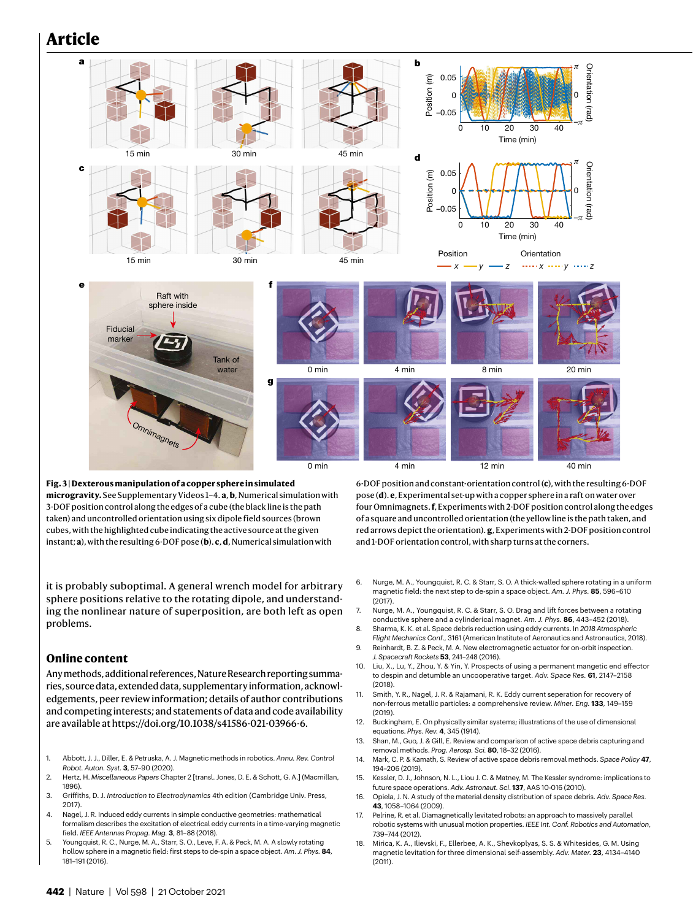## **Article**



<span id="page-3-16"></span>**Fig. 3 | Dexterous manipulation of a copper sphere in simulated microgravity.** See Supplementary Videos 1–4. **a**, **b**, Numerical simulation with 3-DOF position control along the edges of a cube (the black line is the path taken) and uncontrolled orientation using six dipole field sources (brown cubes, with the highlighted cube indicating the active source at the given instant; **a**), with the resulting 6-DOF pose (**b**). **c**, **d**, Numerical simulation with

it is probably suboptimal. A general wrench model for arbitrary sphere positions relative to the rotating dipole, and understanding the nonlinear nature of superposition, are both left as open problems.

#### **Online content**

Any methods, additional references, Nature Research reporting summaries, source data, extended data, supplementary information, acknowledgements, peer review information; details of author contributions and competing interests; and statements of data and code availability are available at [https://doi.org/10.1038/s41586-021-03966-6.](https://doi.org/10.1038/s41586-021-03966-6)

- <span id="page-3-0"></span>1. Abbott, J. J., Diller, E. & Petruska, A. J. Magnetic methods in robotics. *Annu. Rev. Control Robot. Auton. Syst.* **3**, 57–90 (2020).
- <span id="page-3-1"></span>2. Hertz, H. *Miscellaneous Papers* Chapter 2 [transl. Jones, D. E. & Schott, G. A.] (Macmillan, 1896).
- 3. Griffiths, D. J. *Introduction to Electrodynamics* 4th edition (Cambridge Univ. Press, 2017).
- <span id="page-3-2"></span>4. Nagel, J. R. Induced eddy currents in simple conductive geometries: mathematical formalism describes the excitation of electrical eddy currents in a time-varying magnetic field. *IEEE Antennas Propag. Mag.* **3**, 81–88 (2018).
- <span id="page-3-3"></span>5. Youngquist, R. C., Nurge, M. A., Starr, S. O., Leve, F. A. & Peck, M. A. A slowly rotating hollow sphere in a magnetic field: first steps to de-spin a space object. *Am. J. Phys.* **84**, 181–191 (2016).

6-DOF position and constant-orientation control (**c**), with the resulting 6-DOF pose (**d**). **e**, Experimental set-up with a copper sphere in a raft on water over four Omnimagnets. **f**, Experiments with 2-DOF position control along the edges of a square and uncontrolled orientation (the yellow line is the path taken, and red arrows depict the orientation). **g**, Experiments with 2-DOF position control and 1-DOF orientation control, with sharp turns at the corners.

- 6. Nurge, M. A., Youngquist, R. C. & Starr, S. O. A thick-walled sphere rotating in a uniform magnetic field: the next step to de-spin a space object. *Am. J. Phys.* **85**, 596–610 (2017).
- <span id="page-3-12"></span>7. Nurge, M. A., Youngquist, R. C. & Starr, S. O. Drag and lift forces between a rotating conductive sphere and a cylinderical magnet. *Am. J. Phys.* **86**, 443–452 (2018).
- <span id="page-3-4"></span>8. Sharma, K. K. et al. Space debris reduction using eddy currents. In *2018 Atmospheric Flight Mechanics Conf*., 3161 (American Institute of Aeronautics and Astronautics, 2018). 9. Reinhardt, B. Z. & Peck, M. A. New electromagnetic actuator for on-orbit inspection.
- <span id="page-3-5"></span>*J. Spacecraft Rockets* **53**, 241–248 (2016). 10. Liu, X., Lu, Y., Zhou, Y. & Yin, Y. Prospects of using a permanent mangetic end effector
- <span id="page-3-13"></span>to despin and detumble an uncooperative target. *Adv. Space Res.* **61**, 2147–2158 (2018).
- <span id="page-3-6"></span>11. Smith, Y. R., Nagel, J. R. & Rajamani, R. K. Eddy current seperation for recovery of non-ferrous metallic particles: a comprehensive review. *Miner. Eng.* **133**, 149–159 (2019).
- <span id="page-3-7"></span>12. Buckingham, E. On physically similar systems; illustrations of the use of dimensional equations. *Phys. Rev.* **4**, 345 (1914).
- <span id="page-3-8"></span>13. Shan, M., Guo, J. & Gill, E. Review and comparison of active space debris capturing and removal methods. *Prog. Aerosp. Sci.* **80**, 18–32 (2016).
- <span id="page-3-9"></span>14. Mark, C. P. & Kamath, S. Review of active space debris removal methods. *Space Policy* **47**, 194–206 (2019).
- <span id="page-3-10"></span>15. Kessler, D. J., Johnson, N. L., Liou J. C. & Matney, M. The Kessler syndrome: implications to future space operations. *Adv. Astronaut. Sci*. **137**, AAS 10-016 (2010).
- <span id="page-3-11"></span>16. Opiela, J. N. A study of the material density distribution of space debris. *Adv. Space Res.* **43**, 1058–1064 (2009).
- <span id="page-3-14"></span>17. Pelrine, R. et al. Diamagnetically levitated robots: an approach to massively parallel robotic systems with unusual motion properties. *IEEE Int. Conf. Robotics and Automation*, 739–744 (2012).
- <span id="page-3-15"></span>18. Mirica, K. A., Ilievski, F., Ellerbee, A. K., Shevkoplyas, S. S. & Whitesides, G. M. Using magnetic levitation for three dimensional self-assembly. *Adv. Mater.* **23**, 4134–4140  $(2011)$ .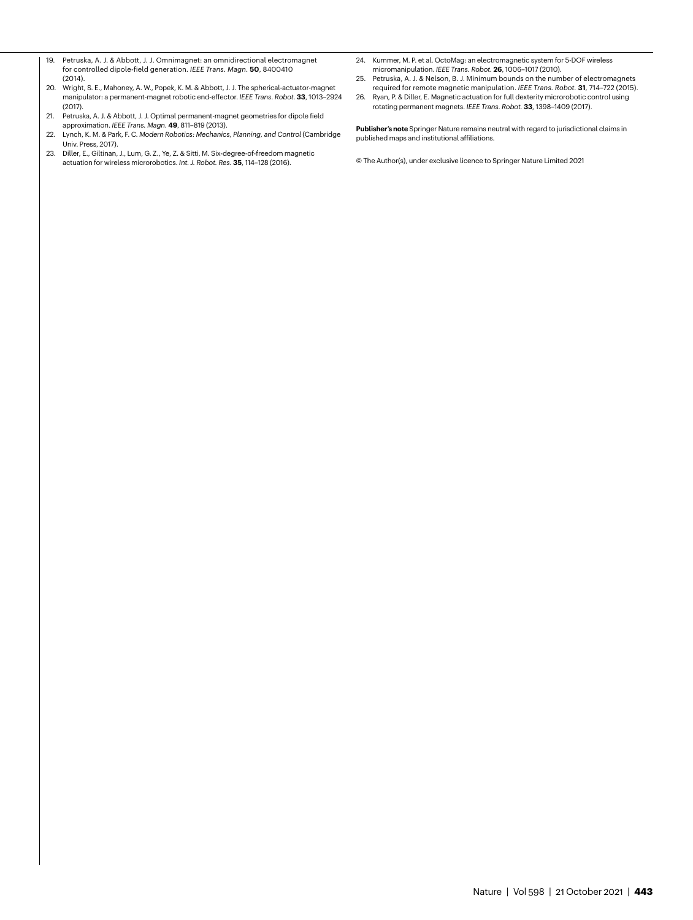- <span id="page-4-0"></span>19. Petruska, A. J. & Abbott, J. J. Omnimagnet: an omnidirectional electromagnet for controlled dipole-field generation. *IEEE Trans. Magn.* **50**, 8400410 (2014).
- <span id="page-4-1"></span>20. Wright, S. E., Mahoney, A. W., Popek, K. M. & Abbott, J. J. The spherical-actuator-magnet manipulator: a permanent-magnet robotic end-effector. *IEEE Trans. Robot.* **33**, 1013–2924 (2017).
- <span id="page-4-2"></span>21. Petruska, A. J. & Abbott, J. J. Optimal permanent-magnet geometries for dipole field approximation. *IEEE Trans. Magn.* **49**, 811–819 (2013).
- <span id="page-4-3"></span>22. Lynch, K. M. & Park, F. C. *Modern Robotics: Mechanics, Planning, and Control* (Cambridge Univ. Press, 2017).
- <span id="page-4-4"></span>23. Diller, E., Giltinan, J., Lum, G. Z., Ye, Z. & Sitti, M. Six-degree-of-freedom magnetic actuation for wireless microrobotics. *Int. J. Robot. Res.* **35**, 114–128 (2016).
- <span id="page-4-5"></span>24. Kummer, M. P. et al. OctoMag: an electromagnetic system for 5-DOF wireless micromanipulation. *IEEE Trans. Robot.* **26**, 1006–1017 (2010).
- <span id="page-4-6"></span>25. Petruska, A. J. & Nelson, B. J. Minimum bounds on the number of electromagnets required for remote magnetic manipulation. *IEEE Trans. Robot.* **31**, 714–722 (2015).
- <span id="page-4-7"></span>26. Ryan, P. & Diller, E. Magnetic actuation for full dexterity microrobotic control using rotating permanent magnets. *IEEE Trans. Robot.* **33**, 1398–1409 (2017).

**Publisher's note** Springer Nature remains neutral with regard to jurisdictional claims in published maps and institutional affiliations.

© The Author(s), under exclusive licence to Springer Nature Limited 2021